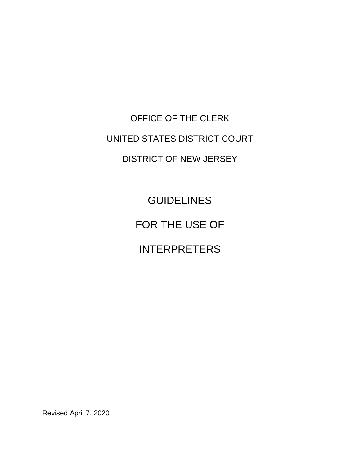OFFICE OF THE CLERK UNITED STATES DISTRICT COURT DISTRICT OF NEW JERSEY

> GUIDELINES FOR THE USE OF INTERPRETERS

Revised April 7, 2020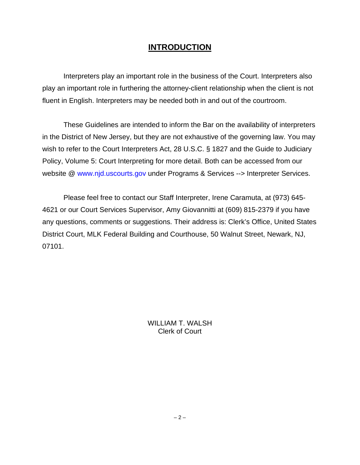# **INTRODUCTION**

Interpreters play an important role in the business of the Court. Interpreters also play an important role in furthering the attorney-client relationship when the client is not fluent in English. Interpreters may be needed both in and out of the courtroom.

These Guidelines are intended to inform the Bar on the availability of interpreters in the District of New Jersey, but they are not exhaustive of the governing law. You may wish to refer to the Court Interpreters Act, 28 U.S.C. § 1827 and the Guide to Judiciary Policy, Volume 5: Court Interpreting for more detail. Both can be accessed from our website @ www.njd.uscourts.gov under Programs & Services --> Interpreter Services.

Please feel free to contact our Staff Interpreter, Irene Caramuta, at (973) 645- 4621 or our Court Services Supervisor, Amy Giovannitti at (609) 815-2379 if you have any questions, comments or suggestions. Their address is: Clerk's Office, United States District Court, MLK Federal Building and Courthouse, 50 Walnut Street, Newark, NJ, 07101.

> WILLIAM T. WALSH Clerk of Court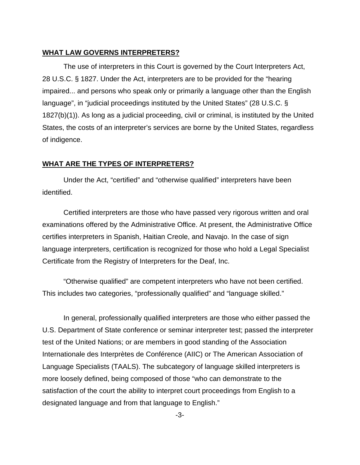### **WHAT LAW GOVERNS INTERPRETERS?**

The use of interpreters in this Court is governed by the Court Interpreters Act, 28 U.S.C. § 1827. Under the Act, interpreters are to be provided for the "hearing impaired... and persons who speak only or primarily a language other than the English language", in "judicial proceedings instituted by the United States" (28 U.S.C. § 1827(b)(1)). As long as a judicial proceeding, civil or criminal, is instituted by the United States, the costs of an interpreter's services are borne by the United States, regardless of indigence.

# **WHAT ARE THE TYPES OF INTERPRETERS?**

Under the Act, "certified" and "otherwise qualified" interpreters have been identified.

Certified interpreters are those who have passed very rigorous written and oral examinations offered by the Administrative Office. At present, the Administrative Office certifies interpreters in Spanish, Haitian Creole, and Navajo. In the case of sign language interpreters, certification is recognized for those who hold a Legal Specialist Certificate from the Registry of Interpreters for the Deaf, Inc.

"Otherwise qualified" are competent interpreters who have not been certified. This includes two categories, "professionally qualified" and "language skilled."

In general, professionally qualified interpreters are those who either passed the U.S. Department of State conference or seminar interpreter test; passed the interpreter test of the United Nations; or are members in good standing of the Association Internationale des Interprètes de Conférence (AIIC) or The American Association of Language Specialists (TAALS). The subcategory of language skilled interpreters is more loosely defined, being composed of those "who can demonstrate to the satisfaction of the court the ability to interpret court proceedings from English to a designated language and from that language to English."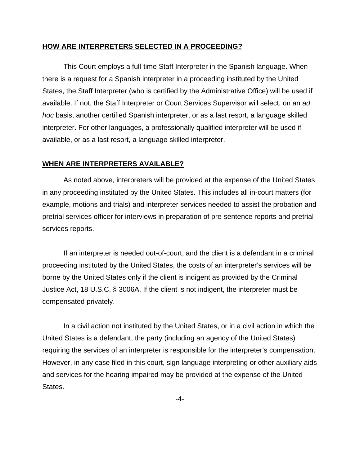# **HOW ARE INTERPRETERS SELECTED IN A PROCEEDING?**

This Court employs a full-time Staff Interpreter in the Spanish language. When there is a request for a Spanish interpreter in a proceeding instituted by the United States, the Staff Interpreter (who is certified by the Administrative Office) will be used if available. If not, the Staff Interpreter or Court Services Supervisor will select, on an *ad hoc* basis, another certified Spanish interpreter, or as a last resort, a language skilled interpreter. For other languages, a professionally qualified interpreter will be used if available, or as a last resort, a language skilled interpreter.

#### **WHEN ARE INTERPRETERS AVAILABLE?**

As noted above, interpreters will be provided at the expense of the United States in any proceeding instituted by the United States. This includes all in-court matters (for example, motions and trials) and interpreter services needed to assist the probation and pretrial services officer for interviews in preparation of pre-sentence reports and pretrial services reports.

If an interpreter is needed out-of-court, and the client is a defendant in a criminal proceeding instituted by the United States, the costs of an interpreter's services will be borne by the United States only if the client is indigent as provided by the Criminal Justice Act, 18 U.S.C. § 3006A. If the client is not indigent, the interpreter must be compensated privately.

In a civil action not instituted by the United States, or in a civil action in which the United States is a defendant, the party (including an agency of the United States) requiring the services of an interpreter is responsible for the interpreter's compensation. However, in any case filed in this court, sign language interpreting or other auxiliary aids and services for the hearing impaired may be provided at the expense of the United States.

-4-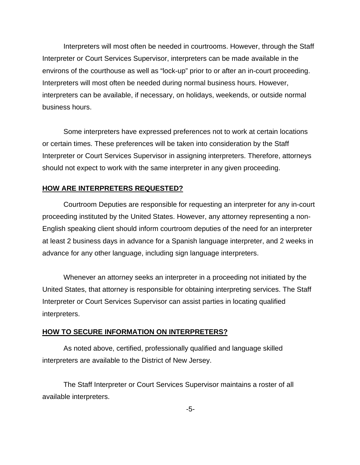Interpreters will most often be needed in courtrooms. However, through the Staff Interpreter or Court Services Supervisor, interpreters can be made available in the environs of the courthouse as well as "lock-up" prior to or after an in-court proceeding. Interpreters will most often be needed during normal business hours. However, interpreters can be available, if necessary, on holidays, weekends, or outside normal business hours.

Some interpreters have expressed preferences not to work at certain locations or certain times. These preferences will be taken into consideration by the Staff Interpreter or Court Services Supervisor in assigning interpreters. Therefore, attorneys should not expect to work with the same interpreter in any given proceeding.

# **HOW ARE INTERPRETERS REQUESTED?**

Courtroom Deputies are responsible for requesting an interpreter for any in-court proceeding instituted by the United States. However, any attorney representing a non-English speaking client should inform courtroom deputies of the need for an interpreter at least 2 business days in advance for a Spanish language interpreter, and 2 weeks in advance for any other language, including sign language interpreters.

Whenever an attorney seeks an interpreter in a proceeding not initiated by the United States, that attorney is responsible for obtaining interpreting services. The Staff Interpreter or Court Services Supervisor can assist parties in locating qualified interpreters.

#### **HOW TO SECURE INFORMATION ON INTERPRETERS?**

As noted above, certified, professionally qualified and language skilled interpreters are available to the District of New Jersey.

The Staff Interpreter or Court Services Supervisor maintains a roster of all available interpreters.